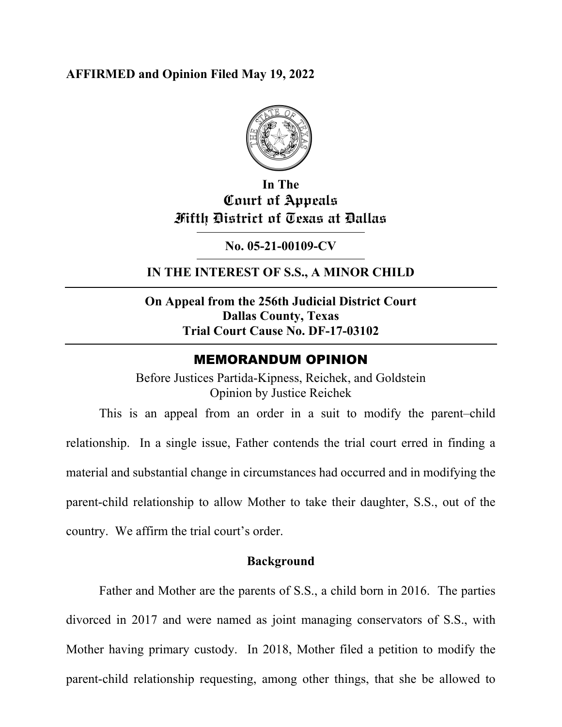#### **AFFIRMED and Opinion Filed May 19, 2022**



## **In The Court of Appeals Fifth District of Texas at Dallas**

**No. 05-21-00109-CV** 

## **IN THE INTEREST OF S.S., A MINOR CHILD**

**On Appeal from the 256th Judicial District Court Dallas County, Texas Trial Court Cause No. DF-17-03102** 

## MEMORANDUM OPINION

Before Justices Partida-Kipness, Reichek, and Goldstein Opinion by Justice Reichek

This is an appeal from an order in a suit to modify the parent–child relationship. In a single issue, Father contends the trial court erred in finding a material and substantial change in circumstances had occurred and in modifying the parent-child relationship to allow Mother to take their daughter, S.S., out of the country. We affirm the trial court's order.

#### **Background**

Father and Mother are the parents of S.S., a child born in 2016. The parties divorced in 2017 and were named as joint managing conservators of S.S., with Mother having primary custody. In 2018, Mother filed a petition to modify the parent-child relationship requesting, among other things, that she be allowed to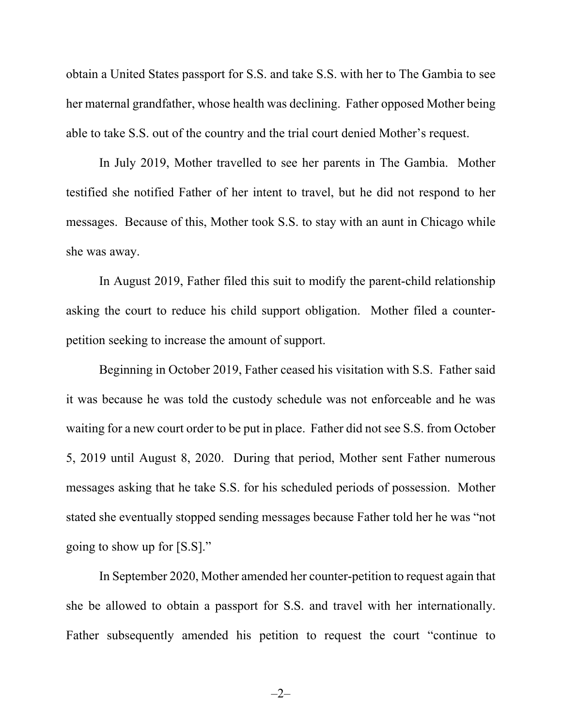obtain a United States passport for S.S. and take S.S. with her to The Gambia to see her maternal grandfather, whose health was declining. Father opposed Mother being able to take S.S. out of the country and the trial court denied Mother's request.

In July 2019, Mother travelled to see her parents in The Gambia. Mother testified she notified Father of her intent to travel, but he did not respond to her messages. Because of this, Mother took S.S. to stay with an aunt in Chicago while she was away.

In August 2019, Father filed this suit to modify the parent-child relationship asking the court to reduce his child support obligation. Mother filed a counterpetition seeking to increase the amount of support.

Beginning in October 2019, Father ceased his visitation with S.S. Father said it was because he was told the custody schedule was not enforceable and he was waiting for a new court order to be put in place. Father did not see S.S. from October 5, 2019 until August 8, 2020. During that period, Mother sent Father numerous messages asking that he take S.S. for his scheduled periods of possession. Mother stated she eventually stopped sending messages because Father told her he was "not going to show up for [S.S]."

In September 2020, Mother amended her counter-petition to request again that she be allowed to obtain a passport for S.S. and travel with her internationally. Father subsequently amended his petition to request the court "continue to

–2–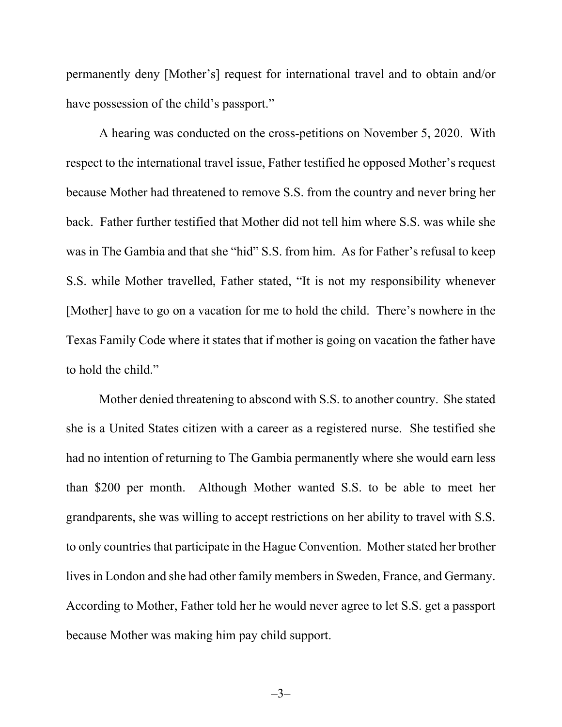permanently deny [Mother's] request for international travel and to obtain and/or have possession of the child's passport."

A hearing was conducted on the cross-petitions on November 5, 2020. With respect to the international travel issue, Father testified he opposed Mother's request because Mother had threatened to remove S.S. from the country and never bring her back. Father further testified that Mother did not tell him where S.S. was while she was in The Gambia and that she "hid" S.S. from him. As for Father's refusal to keep S.S. while Mother travelled, Father stated, "It is not my responsibility whenever [Mother] have to go on a vacation for me to hold the child. There's nowhere in the Texas Family Code where it states that if mother is going on vacation the father have to hold the child."

Mother denied threatening to abscond with S.S. to another country. She stated she is a United States citizen with a career as a registered nurse. She testified she had no intention of returning to The Gambia permanently where she would earn less than \$200 per month. Although Mother wanted S.S. to be able to meet her grandparents, she was willing to accept restrictions on her ability to travel with S.S. to only countries that participate in the Hague Convention. Mother stated her brother lives in London and she had other family members in Sweden, France, and Germany. According to Mother, Father told her he would never agree to let S.S. get a passport because Mother was making him pay child support.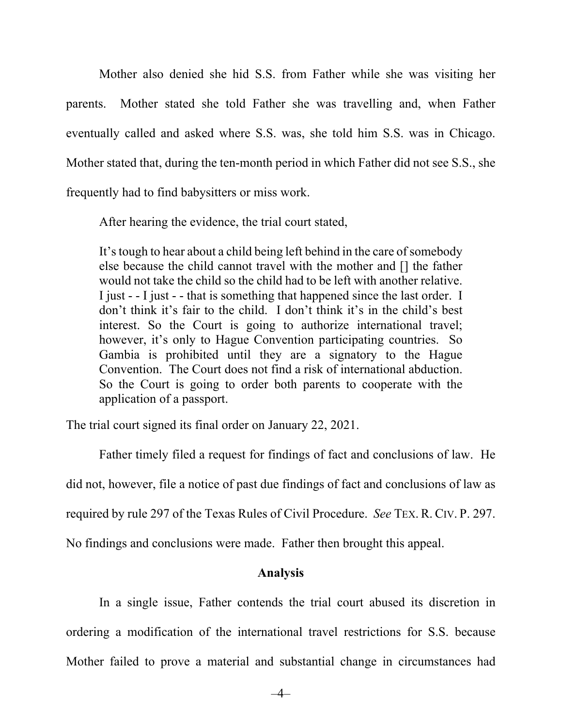Mother also denied she hid S.S. from Father while she was visiting her parents. Mother stated she told Father she was travelling and, when Father eventually called and asked where S.S. was, she told him S.S. was in Chicago. Mother stated that, during the ten-month period in which Father did not see S.S., she frequently had to find babysitters or miss work.

After hearing the evidence, the trial court stated,

It's tough to hear about a child being left behind in the care of somebody else because the child cannot travel with the mother and [] the father would not take the child so the child had to be left with another relative. I just - - I just - - that is something that happened since the last order. I don't think it's fair to the child. I don't think it's in the child's best interest. So the Court is going to authorize international travel; however, it's only to Hague Convention participating countries. So Gambia is prohibited until they are a signatory to the Hague Convention. The Court does not find a risk of international abduction. So the Court is going to order both parents to cooperate with the application of a passport.

The trial court signed its final order on January 22, 2021.

 Father timely filed a request for findings of fact and conclusions of law. He did not, however, file a notice of past due findings of fact and conclusions of law as required by rule 297 of the Texas Rules of Civil Procedure. *See* TEX. R. CIV. P. 297. No findings and conclusions were made. Father then brought this appeal.

#### **Analysis**

 In a single issue, Father contends the trial court abused its discretion in ordering a modification of the international travel restrictions for S.S. because Mother failed to prove a material and substantial change in circumstances had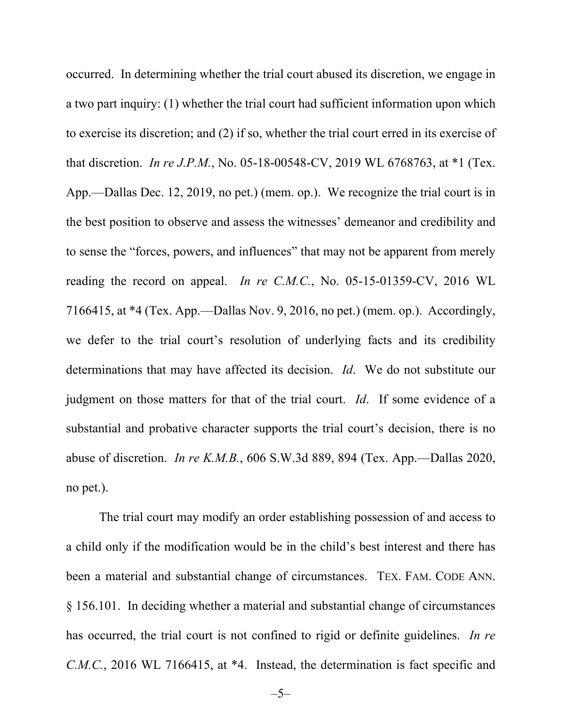occurred. In determining whether the trial court abused its discretion, we engage in a two part inquiry: (1) whether the trial court had sufficient information upon which to exercise its discretion; and (2) if so, whether the trial court erred in its exercise of that discretion. *In re J.P.M.*, No. 05-18-00548-CV, 2019 WL 6768763, at \*1 (Tex. App.—Dallas Dec. 12, 2019, no pet.) (mem. op.). We recognize the trial court is in the best position to observe and assess the witnesses' demeanor and credibility and to sense the "forces, powers, and influences" that may not be apparent from merely reading the record on appeal. *In re C.M.C.*, No. 05-15-01359-CV, 2016 WL 7166415, at \*4 (Tex. App.—Dallas Nov. 9, 2016, no pet.) (mem. op.). Accordingly, we defer to the trial court's resolution of underlying facts and its credibility determinations that may have affected its decision. *Id*. We do not substitute our judgment on those matters for that of the trial court. *Id*. If some evidence of a substantial and probative character supports the trial court's decision, there is no abuse of discretion. *In re K.M.B.*, 606 S.W.3d 889, 894 (Tex. App.—Dallas 2020, no pet.).

 The trial court may modify an order establishing possession of and access to a child only if the modification would be in the child's best interest and there has been a material and substantial change of circumstances. TEX. FAM. CODE ANN. § 156.101. In deciding whether a material and substantial change of circumstances has occurred, the trial court is not confined to rigid or definite guidelines. *In re C.M.C.*, 2016 WL 7166415, at \*4. Instead, the determination is fact specific and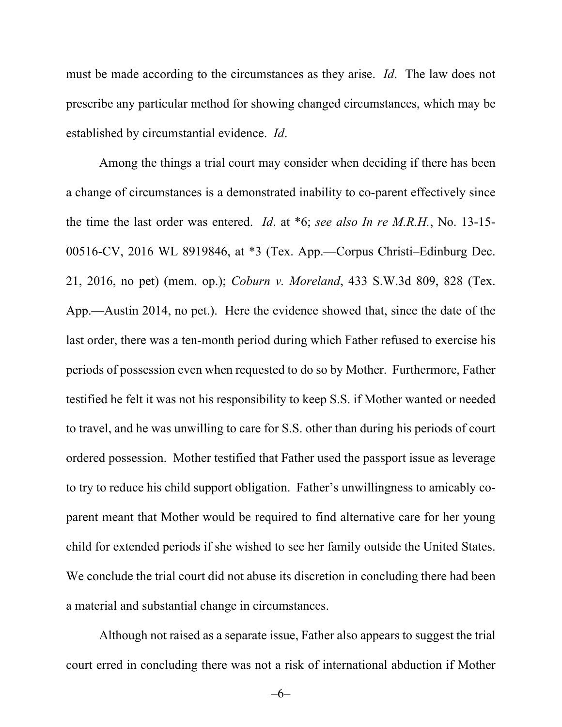must be made according to the circumstances as they arise. *Id*. The law does not prescribe any particular method for showing changed circumstances, which may be established by circumstantial evidence. *Id*.

 Among the things a trial court may consider when deciding if there has been a change of circumstances is a demonstrated inability to co-parent effectively since the time the last order was entered. *Id*. at \*6; *see also In re M.R.H.*, No. 13-15- 00516-CV, 2016 WL 8919846, at \*3 (Tex. App.—Corpus Christi–Edinburg Dec. 21, 2016, no pet) (mem. op.); *Coburn v. Moreland*, 433 S.W.3d 809, 828 (Tex. App.—Austin 2014, no pet.). Here the evidence showed that, since the date of the last order, there was a ten-month period during which Father refused to exercise his periods of possession even when requested to do so by Mother. Furthermore, Father testified he felt it was not his responsibility to keep S.S. if Mother wanted or needed to travel, and he was unwilling to care for S.S. other than during his periods of court ordered possession. Mother testified that Father used the passport issue as leverage to try to reduce his child support obligation. Father's unwillingness to amicably coparent meant that Mother would be required to find alternative care for her young child for extended periods if she wished to see her family outside the United States. We conclude the trial court did not abuse its discretion in concluding there had been a material and substantial change in circumstances.

 Although not raised as a separate issue, Father also appears to suggest the trial court erred in concluding there was not a risk of international abduction if Mother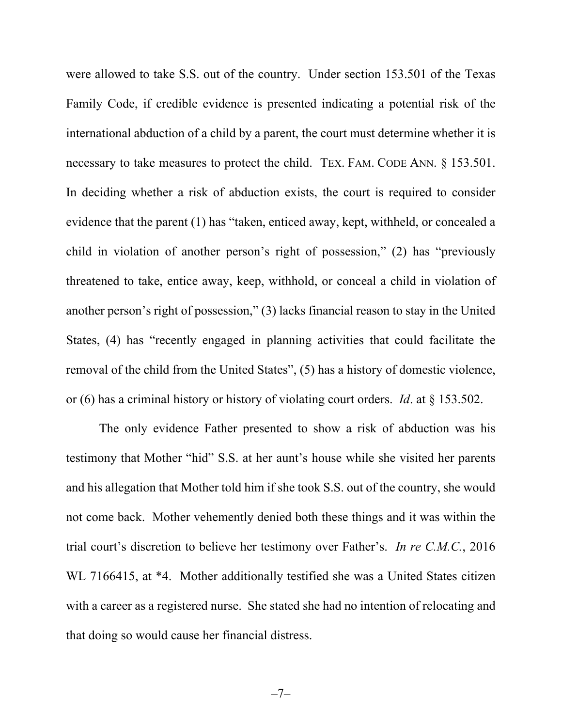were allowed to take S.S. out of the country. Under section 153.501 of the Texas Family Code, if credible evidence is presented indicating a potential risk of the international abduction of a child by a parent, the court must determine whether it is necessary to take measures to protect the child. TEX. FAM. CODE ANN. § 153.501. In deciding whether a risk of abduction exists, the court is required to consider evidence that the parent (1) has "taken, enticed away, kept, withheld, or concealed a child in violation of another person's right of possession," (2) has "previously threatened to take, entice away, keep, withhold, or conceal a child in violation of another person's right of possession," (3) lacks financial reason to stay in the United States, (4) has "recently engaged in planning activities that could facilitate the removal of the child from the United States", (5) has a history of domestic violence, or (6) has a criminal history or history of violating court orders. *Id*. at § 153.502.

 The only evidence Father presented to show a risk of abduction was his testimony that Mother "hid" S.S. at her aunt's house while she visited her parents and his allegation that Mother told him if she took S.S. out of the country, she would not come back. Mother vehemently denied both these things and it was within the trial court's discretion to believe her testimony over Father's. *In re C.M.C.*, 2016 WL 7166415, at \*4. Mother additionally testified she was a United States citizen with a career as a registered nurse. She stated she had no intention of relocating and that doing so would cause her financial distress.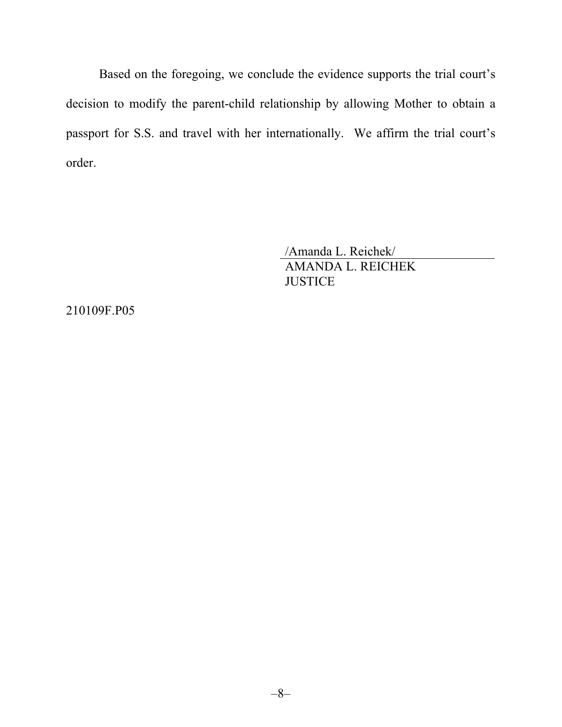Based on the foregoing, we conclude the evidence supports the trial court's decision to modify the parent-child relationship by allowing Mother to obtain a passport for S.S. and travel with her internationally. We affirm the trial court's order.

> /Amanda L. Reichek/ AMANDA L. REICHEK **JUSTICE**

210109F.P05